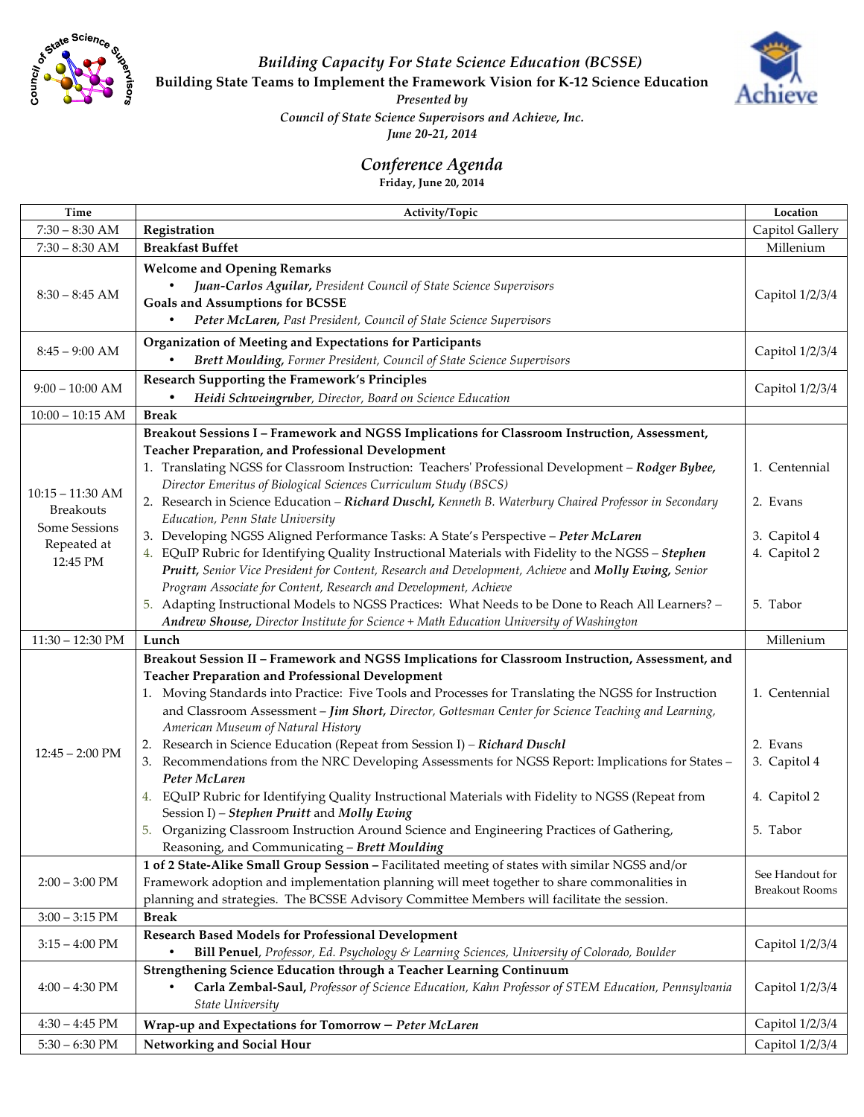

*Building Capacity For State Science Education (BCSSE)*

**Building State Teams to Implement the Framework Vision for K-12 Science Education** 



*Presented by*

*Council of State Science Supervisors and Achieve, Inc.* 

*June 20-21, 2014*

## *Conference Agenda*

**Friday, June 20, 2014**

| Time                                                                   | Activity/Topic                                                                                                                              | Location              |
|------------------------------------------------------------------------|---------------------------------------------------------------------------------------------------------------------------------------------|-----------------------|
| $7:30 - 8:30$ AM                                                       | Registration                                                                                                                                | Capitol Gallery       |
| $7:30 - 8:30$ AM                                                       | <b>Breakfast Buffet</b>                                                                                                                     | Millenium             |
| $8:30 - 8:45$ AM                                                       | <b>Welcome and Opening Remarks</b>                                                                                                          |                       |
|                                                                        | Juan-Carlos Aguilar, President Council of State Science Supervisors                                                                         |                       |
|                                                                        | Goals and Assumptions for BCSSE                                                                                                             | Capitol 1/2/3/4       |
|                                                                        | Peter McLaren, Past President, Council of State Science Supervisors                                                                         |                       |
| $8:45 - 9:00$ AM                                                       | Organization of Meeting and Expectations for Participants                                                                                   |                       |
|                                                                        | Brett Moulding, Former President, Council of State Science Supervisors                                                                      | Capitol 1/2/3/4       |
| $9:00 - 10:00$ AM                                                      | Research Supporting the Framework's Principles                                                                                              |                       |
|                                                                        | Heidi Schweingruber, Director, Board on Science Education                                                                                   | Capitol 1/2/3/4       |
| $10:00 - 10:15$ AM                                                     | <b>Break</b>                                                                                                                                |                       |
|                                                                        | Breakout Sessions I - Framework and NGSS Implications for Classroom Instruction, Assessment,                                                |                       |
|                                                                        | <b>Teacher Preparation, and Professional Development</b>                                                                                    |                       |
|                                                                        | 1. Translating NGSS for Classroom Instruction: Teachers' Professional Development - Rodger Bybee,                                           | 1. Centennial         |
|                                                                        | Director Emeritus of Biological Sciences Curriculum Study (BSCS)                                                                            |                       |
| $10:15 - 11:30$ AM<br><b>Breakouts</b><br>Some Sessions<br>Repeated at | 2. Research in Science Education - Richard Duschl, Kenneth B. Waterbury Chaired Professor in Secondary                                      | 2. Evans              |
|                                                                        | Education, Penn State University                                                                                                            |                       |
|                                                                        | 3. Developing NGSS Aligned Performance Tasks: A State's Perspective - Peter McLaren                                                         | 3. Capitol 4          |
| 12:45 PM                                                               | 4. EQuIP Rubric for Identifying Quality Instructional Materials with Fidelity to the NGSS - Stephen                                         | 4. Capitol 2          |
|                                                                        | Pruitt, Senior Vice President for Content, Research and Development, Achieve and Molly Ewing, Senior                                        |                       |
|                                                                        | Program Associate for Content, Research and Development, Achieve                                                                            |                       |
|                                                                        | 5. Adapting Instructional Models to NGSS Practices: What Needs to be Done to Reach All Learners? -                                          | 5. Tabor              |
|                                                                        | Andrew Shouse, Director Institute for Science + Math Education University of Washington                                                     |                       |
| $11:30 - 12:30$ PM                                                     | Lunch                                                                                                                                       | Millenium             |
|                                                                        | Breakout Session II - Framework and NGSS Implications for Classroom Instruction, Assessment, and                                            |                       |
|                                                                        | <b>Teacher Preparation and Professional Development</b>                                                                                     |                       |
|                                                                        | 1. Moving Standards into Practice: Five Tools and Processes for Translating the NGSS for Instruction                                        | 1. Centennial         |
| $12:45 - 2:00 \text{ PM}$                                              | and Classroom Assessment - Jim Short, Director, Gottesman Center for Science Teaching and Learning,                                         |                       |
|                                                                        | American Museum of Natural History                                                                                                          |                       |
|                                                                        | Research in Science Education (Repeat from Session I) - Richard Duschl                                                                      | 2. Evans              |
|                                                                        | 3. Recommendations from the NRC Developing Assessments for NGSS Report: Implications for States -                                           | 3. Capitol 4          |
|                                                                        | Peter McLaren                                                                                                                               |                       |
|                                                                        | 4. EQuIP Rubric for Identifying Quality Instructional Materials with Fidelity to NGSS (Repeat from                                          | 4. Capitol 2          |
|                                                                        | Session I) - Stephen Pruitt and Molly Ewing                                                                                                 |                       |
|                                                                        | 5. Organizing Classroom Instruction Around Science and Engineering Practices of Gathering,<br>Reasoning, and Communicating - Brett Moulding | 5. Tabor              |
| $2:00 - 3:00 \text{ PM}$                                               | 1 of 2 State-Alike Small Group Session - Facilitated meeting of states with similar NGSS and/or                                             |                       |
|                                                                        | Framework adoption and implementation planning will meet together to share commonalities in                                                 | See Handout for       |
|                                                                        | planning and strategies. The BCSSE Advisory Committee Members will facilitate the session.                                                  | <b>Breakout Rooms</b> |
| $3:00 - 3:15$ PM                                                       | <b>Break</b>                                                                                                                                |                       |
| $3:15 - 4:00 \text{ PM}$                                               | <b>Research Based Models for Professional Development</b>                                                                                   |                       |
|                                                                        | Bill Penuel, Professor, Ed. Psychology & Learning Sciences, University of Colorado, Boulder                                                 | Capitol 1/2/3/4       |
| $4:00 - 4:30$ PM                                                       | Strengthening Science Education through a Teacher Learning Continuum                                                                        |                       |
|                                                                        | Carla Zembal-Saul, Professor of Science Education, Kahn Professor of STEM Education, Pennsylvania                                           | Capitol 1/2/3/4       |
|                                                                        | State University                                                                                                                            |                       |
| $4:30 - 4:45$ PM                                                       | Wrap-up and Expectations for Tomorrow - Peter McLaren                                                                                       | Capitol 1/2/3/4       |
| $5:30 - 6:30$ PM                                                       | Networking and Social Hour                                                                                                                  | Capitol 1/2/3/4       |
|                                                                        |                                                                                                                                             |                       |